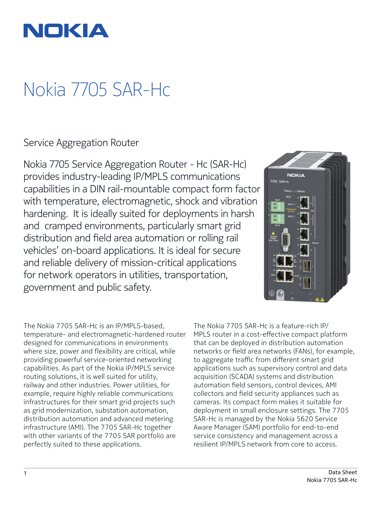

# Nokia 7705 SAR-Hc

Service Aggregation Router

Nokia 7705 Service Aggregation Router - Hc (SAR-Hc) provides industry-leading IP/MPLS communications capabilities in a DIN rail-mountable compact form factor with temperature, electromagnetic, shock and vibration hardening. It is ideally suited for deployments in harsh and cramped environments, particularly smart grid distribution and field area automation or rolling rail vehicles' on-board applications. It is ideal for secure and reliable delivery of mission-critical applications for network operators in utilities, transportation, government and public safety.



The Nokia 7705 SAR-Hc is an IP/MPLS-based, temperature- and electromagnetic-hardened router designed for communications in environments where size, power and flexibility are critical, while providing powerful service-oriented networking capabilities. As part of the Nokia IP/MPLS service routing solutions, it is well suited for utility, railway and other industries. Power utilities, for example, require highly reliable communications infrastructures for their smart grid projects such as grid modernization, substation automation, distribution automation and advanced metering infrastructure (AMI). The 7705 SAR-Hc together with other variants of the 7705 SAR portfolio are perfectly suited to these applications.

The Nokia 7705 SAR-Hc is a feature-rich IP/ MPLS router in a cost-effective compact platform that can be deployed in distribution automation networks or field area networks (FANs), for example, to aggregate traffic from different smart grid applications such as supervisory control and data acquisition (SCADA) systems and distribution automation field sensors, control devices, AMI collectors and field security appliances such as cameras. Its compact form makes it suitable for deployment in small enclosure settings. The 7705 SAR-Hc is managed by the Nokia 5620 Service Aware Manager (SAM) portfolio for end-to-end service consistency and management across a resilient IP/MPLS network from core to access.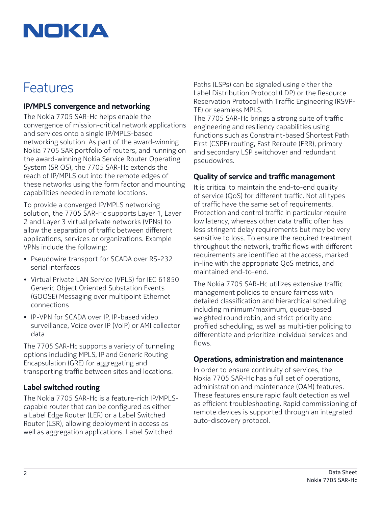# NOKIA

# Features

### **IP/MPLS convergence and networking**

The Nokia 7705 SAR-Hc helps enable the convergence of mission-critical network applications and services onto a single IP/MPLS-based networking solution. As part of the award-winning Nokia 7705 SAR portfolio of routers, and running on the award-winning Nokia Service Router Operating System (SR OS), the 7705 SAR-Hc extends the reach of IP/MPLS out into the remote edges of these networks using the form factor and mounting capabilities needed in remote locations.

To provide a converged IP/MPLS networking solution, the 7705 SAR-Hc supports Layer 1, Layer 2 and Layer 3 virtual private networks (VPNs) to allow the separation of traffic between different applications, services or organizations. Example VPNs include the following:

- Pseudowire transport for SCADA over RS-232 serial interfaces
- Virtual Private LAN Service (VPLS) for IEC 61850 Generic Object Oriented Substation Events (GOOSE) Messaging over multipoint Ethernet connections
- IP-VPN for SCADA over IP, IP-based video surveillance, Voice over IP (VoIP) or AMI collector data

The 7705 SAR-Hc supports a variety of tunneling options including MPLS, IP and Generic Routing Encapsulation (GRE) for aggregating and transporting traffic between sites and locations.

### **Label switched routing**

The Nokia 7705 SAR-Hc is a feature-rich IP/MPLScapable router that can be configured as either a Label Edge Router (LER) or a Label Switched Router (LSR), allowing deployment in access as well as aggregation applications. Label Switched

Paths (LSPs) can be signaled using either the Label Distribution Protocol (LDP) or the Resource Reservation Protocol with Traffic Engineering (RSVP-TE) or seamless MPLS.

The 7705 SAR-Hc brings a strong suite of traffic engineering and resiliency capabilities using functions such as Constraint-based Shortest Path First (CSPF) routing, Fast Reroute (FRR), primary and secondary LSP switchover and redundant pseudowires.

### **Quality of service and traffic management**

It is critical to maintain the end-to-end quality of service (QoS) for different traffic. Not all types of traffic have the same set of requirements. Protection and control traffic in particular require low latency, whereas other data traffic often has less stringent delay requirements but may be very sensitive to loss. To ensure the required treatment throughout the network, traffic flows with different requirements are identified at the access, marked in-line with the appropriate QoS metrics, and maintained end-to-end.

The Nokia 7705 SAR-Hc utilizes extensive traffic management policies to ensure fairness with detailed classification and hierarchical scheduling including minimum/maximum, queue-based weighted round robin, and strict priority and profiled scheduling, as well as multi-tier policing to differentiate and prioritize individual services and flows.

#### **Operations, administration and maintenance**

In order to ensure continuity of services, the Nokia 7705 SAR-Hc has a full set of operations, administration and maintenance (OAM) features. These features ensure rapid fault detection as well as efficient troubleshooting. Rapid commissioning of remote devices is supported through an integrated auto-discovery protocol.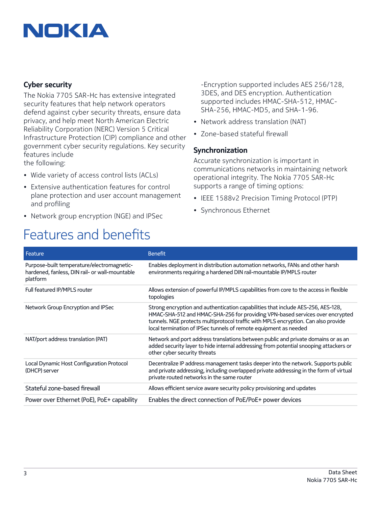# NOKIA

### **Cyber security**

The Nokia 7705 SAR-Hc has extensive integrated security features that help network operators defend against cyber security threats, ensure data privacy, and help meet North American Electric Reliability Corporation (NERC) Version 5 Critical Infrastructure Protection (CIP) compliance and other government cyber security regulations. Key security features include the following:

- Wide variety of access control lists (ACLs)
- Extensive authentication features for control plane protection and user account management and profiling
- Network group encryption (NGE) and IPSec

# Features and benefits

-Encryption supported includes AES 256/128, 3DES, and DES encryption. Authentication supported includes HMAC-SHA-512, HMAC-SHA-256, HMAC-MD5, and SHA-1-96.

- Network address translation (NAT)
- Zone-based stateful firewall

#### **Synchronization**

Accurate synchronization is important in communications networks in maintaining network operational integrity. The Nokia 7705 SAR-Hc supports a range of timing options:

- IEEE 1588v2 Precision Timing Protocol (PTP)
- Synchronous Ethernet

| Feature                                                                                                  | <b>Benefit</b>                                                                                                                                                                                                                                                                                                              |
|----------------------------------------------------------------------------------------------------------|-----------------------------------------------------------------------------------------------------------------------------------------------------------------------------------------------------------------------------------------------------------------------------------------------------------------------------|
| Purpose-built temperature/electromagnetic-<br>hardened, fanless, DIN rail- or wall-mountable<br>platform | Enables deployment in distribution automation networks, FANs and other harsh<br>environments requiring a hardened DIN rail-mountable IP/MPLS router                                                                                                                                                                         |
| Full featured IP/MPLS router                                                                             | Allows extension of powerful IP/MPLS capabilities from core to the access in flexible<br>topologies                                                                                                                                                                                                                         |
| Network Group Encryption and IPSec                                                                       | Strong encryption and authentication capabilities that include AES-256, AES-128,<br>HMAC-SHA-512 and HMAC-SHA-256 for providing VPN-based services over encrypted<br>tunnels. NGE protects multiprotocol traffic with MPLS encryption. Can also provide<br>local termination of IPSec tunnels of remote equipment as needed |
| NAT/port address translation (PAT)                                                                       | Network and port address translations between public and private domains or as an<br>added security layer to hide internal addressing from potential snooping attackers or<br>other cyber security threats                                                                                                                  |
| Local Dynamic Host Configuration Protocol<br>(DHCP) server                                               | Decentralize IP address management tasks deeper into the network. Supports public<br>and private addressing, including overlapped private addressing in the form of virtual<br>private routed networks in the same router                                                                                                   |
| Stateful zone-based firewall                                                                             | Allows efficient service aware security policy provisioning and updates                                                                                                                                                                                                                                                     |
| Power over Ethernet (PoE), PoE+ capability                                                               | Enables the direct connection of PoE/PoE+ power devices                                                                                                                                                                                                                                                                     |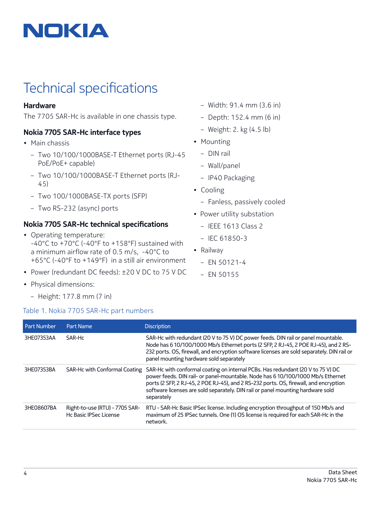

# Technical specifications

### **Hardware**

The 7705 SAR-Hc is available in one chassis type.

## **Nokia 7705 SAR-Hc interface types**

- Main chassis
	- Two 10/100/1000BASE-T Ethernet ports (RJ-45 PoE/PoE+ capable)
	- Two 10/100/1000BASE-T Ethernet ports (RJ-45)
	- Two 100/1000BASE-TX ports (SFP)
	- Two RS-232 (async) ports

## **Nokia 7705 SAR-Hc technical specifications**

- Operating temperature: -40°C to +70°C (-40°F to +158°F) sustained with a minimum airflow rate of 0.5 m/s, -40°C to +65°C (-40°F to +149°F) in a still air environment
- Power (redundant DC feeds): ±20 V DC to 75 V DC
- Physical dimensions:
	- Height: 177.8 mm (7 in)

### Table 1. Nokia 7705 SAR-Hc part numbers

- Width: 91.4 mm (3.6 in)
- Depth: 152.4 mm (6 in)
- Weight: 2. kg (4.5 lb)
- Mounting
	- DIN rail
	- Wall/panel
	- IP40 Packaging
- Cooling
	- Fanless, passively cooled
- Power utility substation
	- IEEE 1613 Class 2
	- IEC 61850-3
- Railway
	- EN 50121-4
	- EN 50155

| <b>Part Number</b> | Part Name                                                | <b>Discription</b>                                                                                                                                                                                                                                                                                                                                           |
|--------------------|----------------------------------------------------------|--------------------------------------------------------------------------------------------------------------------------------------------------------------------------------------------------------------------------------------------------------------------------------------------------------------------------------------------------------------|
| 3HE07353AA         | SAR-Hc                                                   | SAR-Hc with redundant (20 V to 75 V) DC power feeds. DIN rail or panel mountable.<br>Node has 6 10/100/1000 Mb/s Ethernet ports (2 SFP, 2 RJ-45, 2 POE RJ-45), and 2 RS-<br>232 ports. OS, firewall, and encryption software licenses are sold separately. DIN rail or<br>panel mounting hardware sold separately                                            |
| 3HE07353BA         | SAR-Hc with Conformal Coating                            | SAR-Hc with conformal coating on internal PCBs. Has redundant (20 V to 75 V) DC<br>power feeds. DIN rail- or panel-mountable. Node has 6 10/100/1000 Mb/s Ethernet<br>ports (2 SFP, 2 RJ-45, 2 POE RJ-45), and 2 RS-232 ports. OS, firewall, and encryption<br>software licenses are sold separately. DIN rail or panel mounting hardware sold<br>separately |
| 3HE08607BA         | Right-to-use (RTU) - 7705 SAR-<br>Hc Basic IPSec License | RTU - SAR-Hc Basic IPSec license. Including encryption throughput of 150 Mb/s and<br>maximum of 25 IPSec tunnels. One (1) OS license is required for each SAR-Hc in the<br>network.                                                                                                                                                                          |